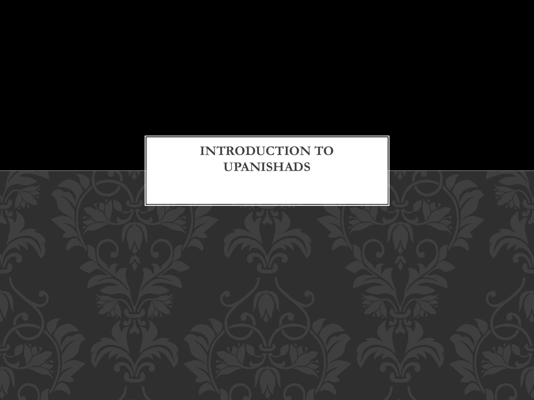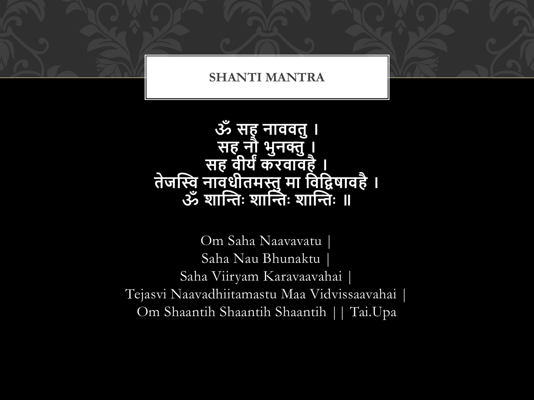#### **SHANTI MANTRA**

## **ॐ सह नाववतु। सह नौ भुनक्तु। सह वीर्यंकरवावहै। तेजस्वि नावधीतमस्तुमा ववविषावहै। ॐ शास्वतिः शास्वतिः शास्वतिः ॥**

Om Saha Naavavatu | Saha Nau Bhunaktu | Saha Viiryam Karavaavahai | Tejasvi Naavadhiitamastu Maa Vidvissaavahai | Om Shaantih Shaantih Shaantih || Tai.Upa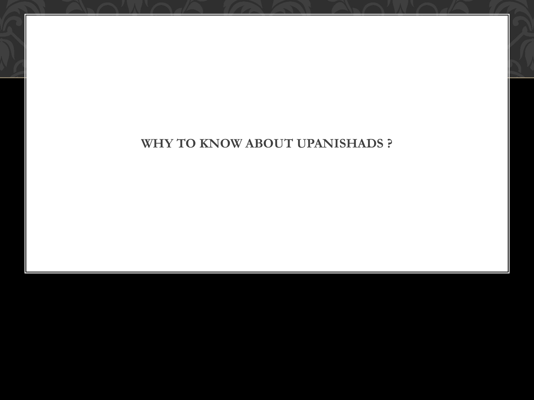#### **WHY TO KNOW ABOUT UPANISHADS ?**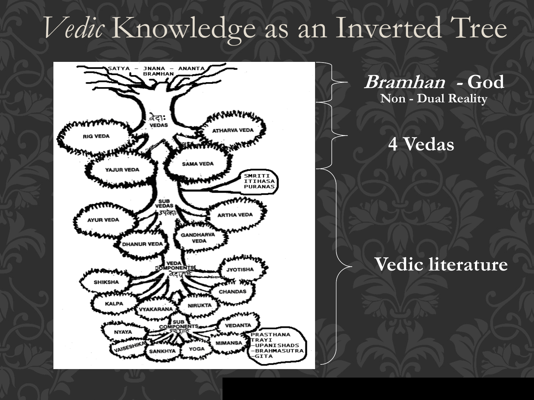# *Vedic* Knowledge as an Inverted Tree



**Bramhan - God Non - Dual Reality** 

## **4 Vedas**

## **Vedic literature**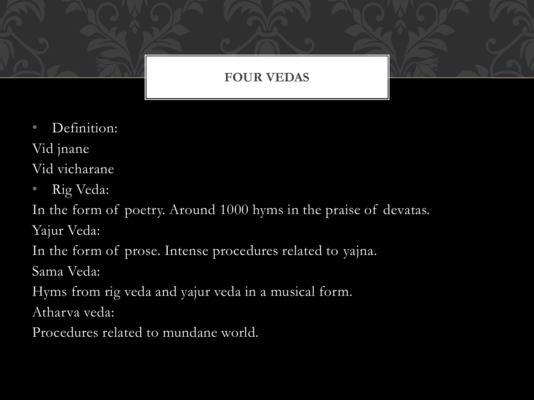### **FOUR VEDAS**

• Definition:

Vid jnane

Vid vicharane

• Rig Veda:

In the form of poetry. Around 1000 hyms in the praise of devatas. Yajur Veda:

In the form of prose. Intense procedures related to yajna.

Sama Veda:

Hyms from rig veda and yajur veda in a musical form.

Atharva veda:

Procedures related to mundane world.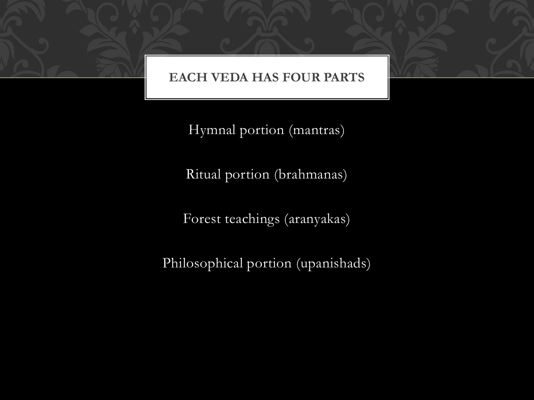#### **EACH VEDA HAS FOUR PARTS**

Hymnal portion (mantras)

Ritual portion (brahmanas)

Forest teachings (aranyakas)

Philosophical portion (upanishads)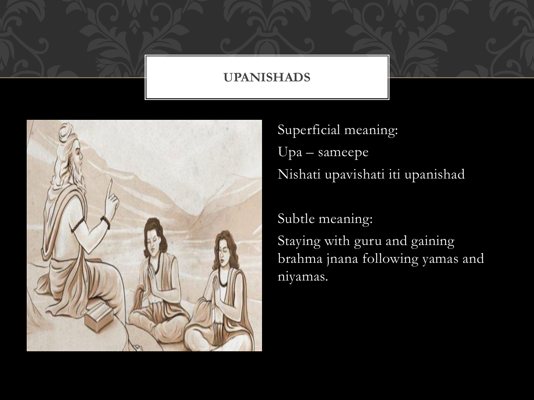#### **UPANISHADS**



Superficial meaning: Upa – sameepe Nishati upavishati iti upanishad

Subtle meaning: Staying with guru and gaining brahma jnana following yamas and niyamas.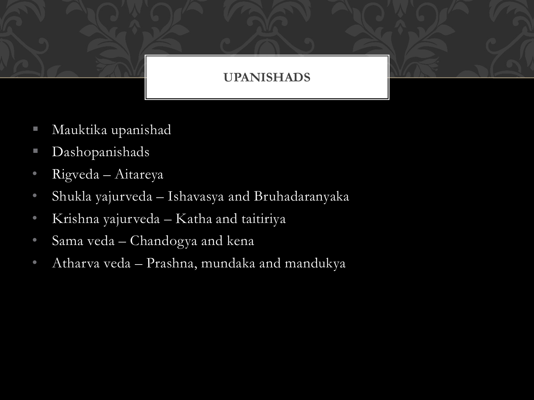#### **UPANISHADS**

- Mauktika upanishad
- Dashopanishads
- Rigveda Aitareya
- Shukla yajurveda Ishavasya and Bruhadaranyaka
- Krishna yajurveda Katha and taitiriya
- Sama veda Chandogya and kena
- Atharva veda Prashna, mundaka and mandukya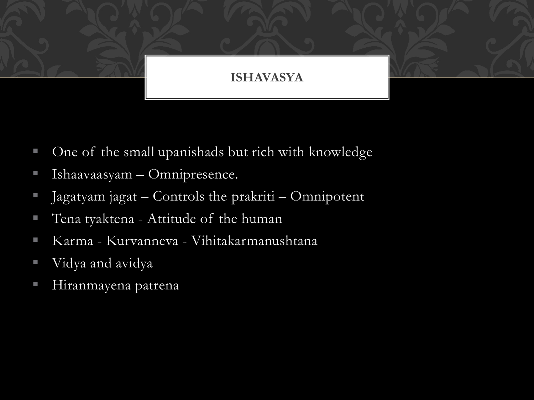#### **ISHAVASYA**

- One of the small upanishads but rich with knowledge
- Ishaavaasyam Omnipresence.
- Jagatyam jagat Controls the prakriti Omnipotent
- Tena tyaktena Attitude of the human
- Karma Kurvanneva Vihitakarmanushtana
- Vidya and avidya
- Hiranmayena patrena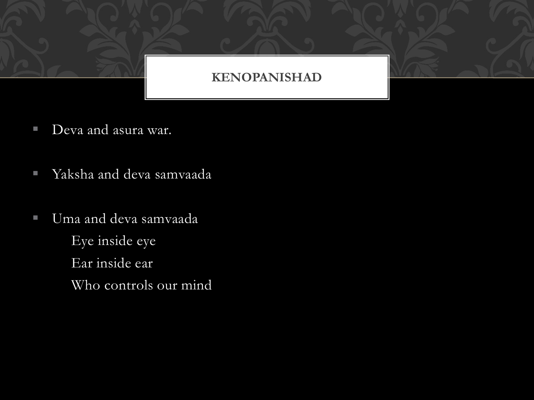#### **KENOPANISHAD**

- Deva and asura war.
- Yaksha and deva samvaada
- Uma and deva samvaada Eye inside eye Ear inside ear Who controls our mind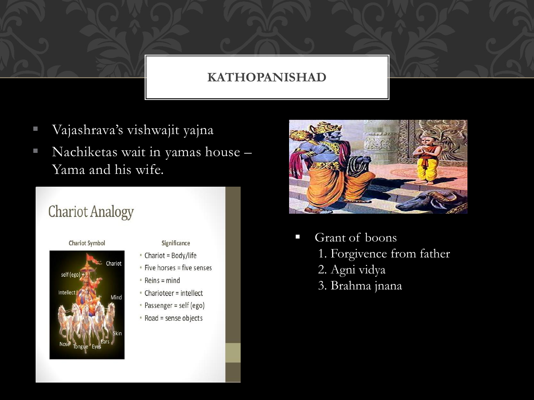#### **KATHOPANISHAD**

- Vajashrava's vishwajit yajna
- Nachiketas wait in yamas house Yama and his wife.

## **Chariot Analogy**



Intellect

**Chariot Symbol** 

#### Significance

- Chariot = Body/life
- · Five horses = five senses
- $\cdot$  Reins = mind
- Charioteer = intellect
- Passenger = self (ego)
- Road = sense objects



- Grant of boons 1. Forgivence from father 2. Agni vidya
	- 3. Brahma jnana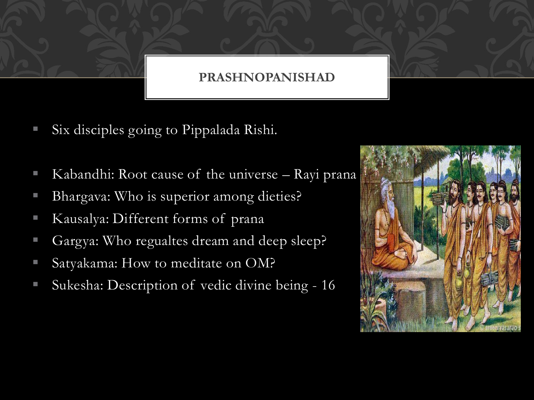#### **PRASHNOPANISHAD**

- Six disciples going to Pippalada Rishi.
- Kabandhi: Root cause of the universe  $-$  Rayi prana
- Bhargava: Who is superior among dieties?
- Kausalya: Different forms of prana
- Gargya: Who regualtes dream and deep sleep?
- Satyakama: How to meditate on OM?
- Sukesha: Description of vedic divine being 16

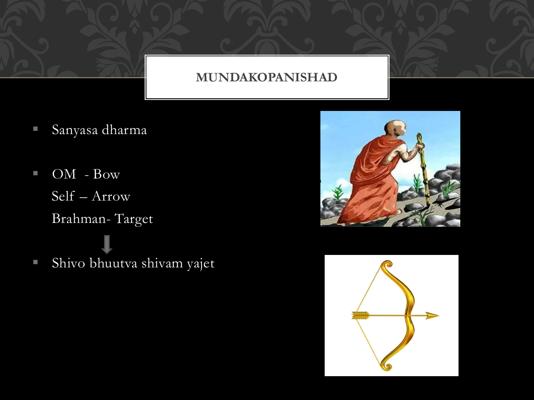#### **MUNDAKOPANISHAD**

- Sanyasa dharma
- OM Bow Self – Arrow Brahman- Target
- Shivo bhuutva shivam yajet



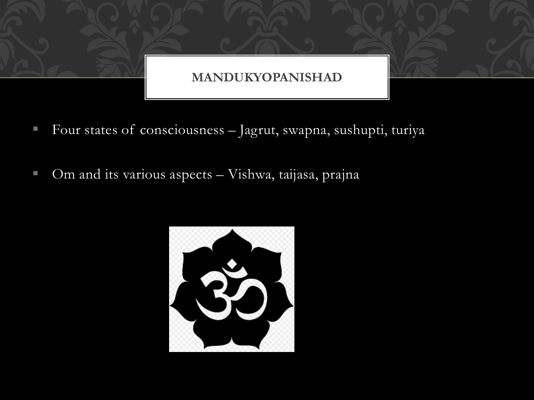

- Four states of consciousness Jagrut, swapna, sushupti, turiya
- Om and its various aspects Vishwa, taijasa, prajna

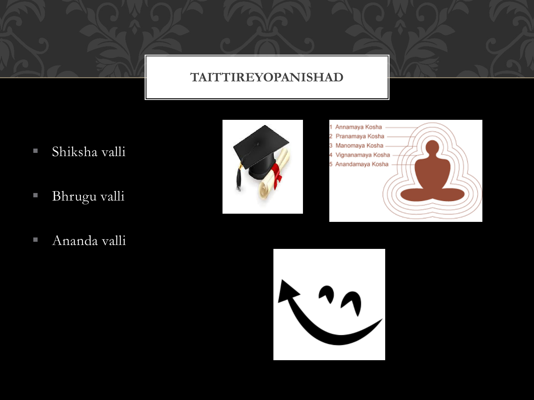#### **TAITTIREYOPANISHAD**

- Shiksha valli
- Bhrugu valli
- Ananda valli





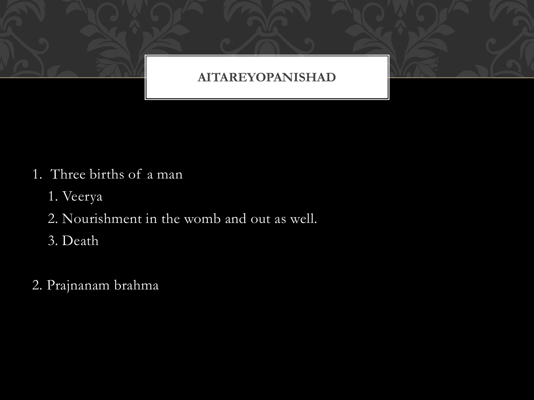

- 1. Three births of a man
	- 1. Veerya
	- 2. Nourishment in the womb and out as well.
	- 3. Death
- 2. Prajnanam brahma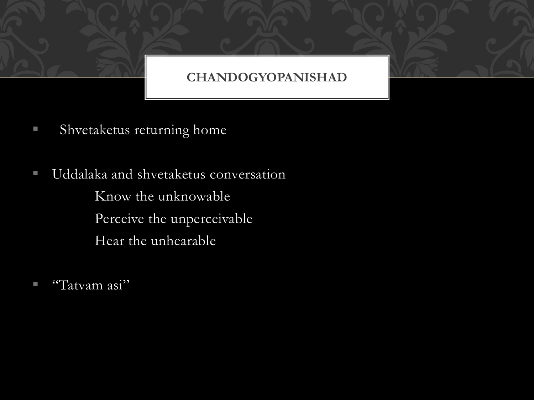#### **CHANDOGYOPANISHAD**

- **E** Shvetaketus returning home
- Uddalaka and shvetaketus conversation Know the unknowable Perceive the unperceivable Hear the unhearable
- $\blacksquare$  "Tatvam asi"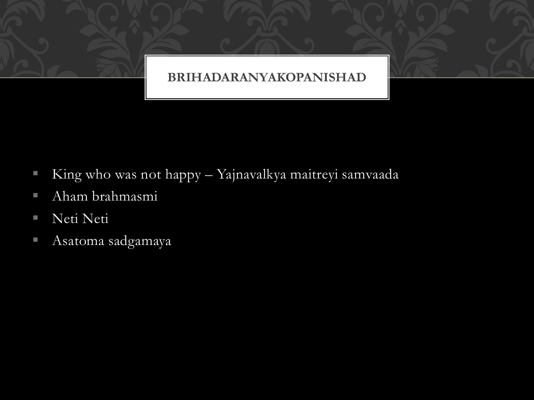

- King who was not happy Yajnavalkya maitreyi samvaada
- Aham brahmasmi
- Neti Neti
- Asatoma sadgamaya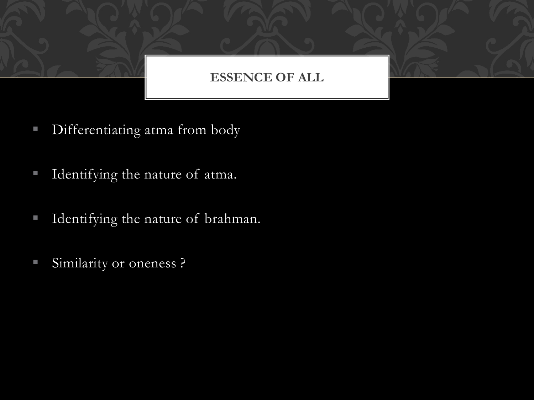#### **ESSENCE OF ALL**

- **EXECUTE:** Differentiating atma from body
- **I** Identifying the nature of atma.
- **I** Identifying the nature of brahman.
- Similarity or oneness ?